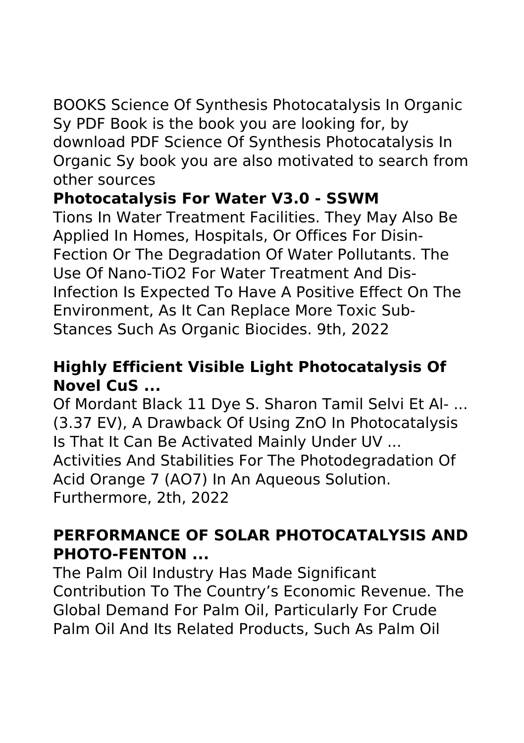### BOOKS Science Of Synthesis Photocatalysis In Organic Sy PDF Book is the book you are looking for, by download PDF Science Of Synthesis Photocatalysis In Organic Sy book you are also motivated to search from other sources

# **Photocatalysis For Water V3.0 - SSWM**

Tions In Water Treatment Facilities. They May Also Be Applied In Homes, Hospitals, Or Offices For Disin‐ Fection Or The Degradation Of Water Pollutants. The Use Of Nano‐TiO2 For Water Treatment And Dis‐ Infection Is Expected To Have A Positive Effect On The Environment, As It Can Replace More Toxic Sub‐ Stances Such As Organic Biocides. 9th, 2022

# **Highly Efficient Visible Light Photocatalysis Of Novel CuS ...**

Of Mordant Black 11 Dye S. Sharon Tamil Selvi Et Al- ... (3.37 EV), A Drawback Of Using ZnO In Photocatalysis Is That It Can Be Activated Mainly Under UV ... Activities And Stabilities For The Photodegradation Of Acid Orange 7 (AO7) In An Aqueous Solution. Furthermore, 2th, 2022

# **PERFORMANCE OF SOLAR PHOTOCATALYSIS AND PHOTO-FENTON ...**

The Palm Oil Industry Has Made Significant Contribution To The Country's Economic Revenue. The Global Demand For Palm Oil, Particularly For Crude Palm Oil And Its Related Products, Such As Palm Oil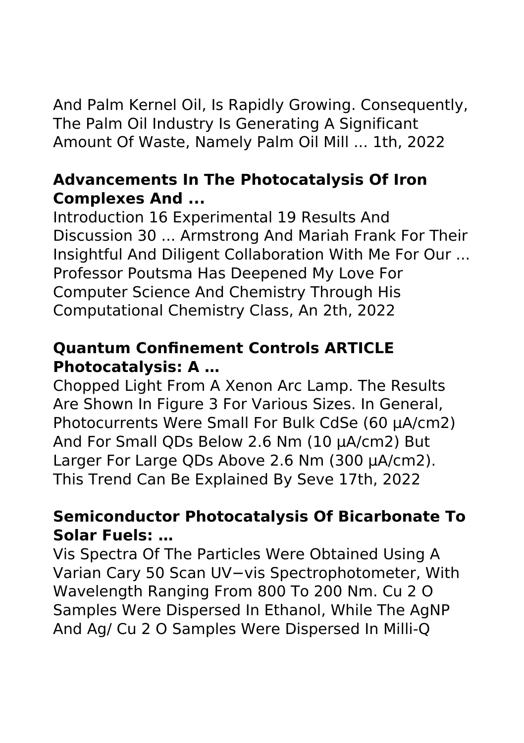And Palm Kernel Oil, Is Rapidly Growing. Consequently, The Palm Oil Industry Is Generating A Significant Amount Of Waste, Namely Palm Oil Mill ... 1th, 2022

#### **Advancements In The Photocatalysis Of Iron Complexes And ...**

Introduction 16 Experimental 19 Results And Discussion 30 ... Armstrong And Mariah Frank For Their Insightful And Diligent Collaboration With Me For Our ... Professor Poutsma Has Deepened My Love For Computer Science And Chemistry Through His Computational Chemistry Class, An 2th, 2022

### **Quantum Confinement Controls ARTICLE Photocatalysis: A …**

Chopped Light From A Xenon Arc Lamp. The Results Are Shown In Figure 3 For Various Sizes. In General, Photocurrents Were Small For Bulk CdSe (60 μA/cm2) And For Small QDs Below 2.6 Nm (10 μA/cm2) But Larger For Large QDs Above 2.6 Nm (300 μA/cm2). This Trend Can Be Explained By Seve 17th, 2022

# **Semiconductor Photocatalysis Of Bicarbonate To Solar Fuels: …**

Vis Spectra Of The Particles Were Obtained Using A Varian Cary 50 Scan UV−vis Spectrophotometer, With Wavelength Ranging From 800 To 200 Nm. Cu 2 O Samples Were Dispersed In Ethanol, While The AgNP And Ag/ Cu 2 O Samples Were Dispersed In Milli-Q